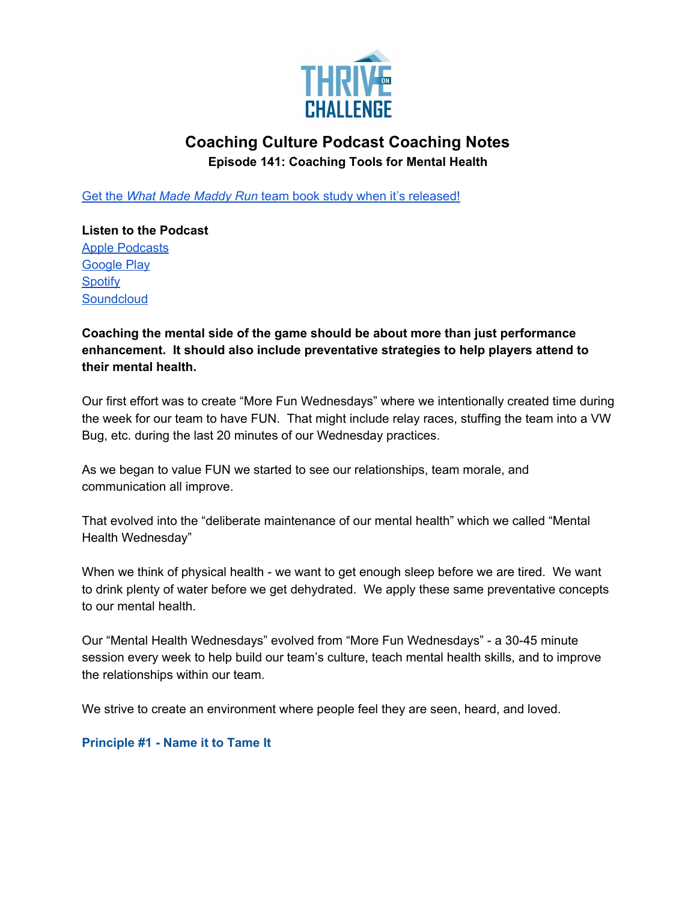

# **Coaching Culture Podcast Coaching Notes Episode 141: Coaching Tools for Mental Health**

[Get](https://forms.gle/xcKHnZ85sDiRdJbw9) the *What Made [Maddy](https://forms.gle/xcKHnZ85sDiRdJbw9) Run* team book study when it's [released!](https://forms.gle/xcKHnZ85sDiRdJbw9)

**Listen to the Podcast** Apple [Podcasts](https://podcasts.apple.com/us/podcast/coaching-culture/id1286560192) [Google](https://podcasts.google.com/?feed=aHR0cHM6Ly9mZWVkcy5zb3VuZGNsb3VkLmNvbS91c2Vycy9zb3VuZGNsb3VkOnVzZXJzOjQxMDQyNzcvc291bmRzLnJzcw&ved=2ahUKEwjRy_nUsc_pAhVIgFwKHbzCAywQ4aUDegQIARAC&hl=en-IE) Play **[Spotify](https://open.spotify.com/episode/40qaYIsfcUYGfTBvr3oCSr) [Soundcloud](https://soundcloud.com/thriveonchallenge/141-coaching-tools-for-mental-health)** 

**Coaching the mental side of the game should be about more than just performance enhancement. It should also include preventative strategies to help players attend to their mental health.**

Our first effort was to create "More Fun Wednesdays" where we intentionally created time during the week for our team to have FUN. That might include relay races, stuffing the team into a VW Bug, etc. during the last 20 minutes of our Wednesday practices.

As we began to value FUN we started to see our relationships, team morale, and communication all improve.

That evolved into the "deliberate maintenance of our mental health" which we called "Mental Health Wednesday"

When we think of physical health - we want to get enough sleep before we are tired. We want to drink plenty of water before we get dehydrated. We apply these same preventative concepts to our mental health.

Our "Mental Health Wednesdays" evolved from "More Fun Wednesdays" - a 30-45 minute session every week to help build our team's culture, teach mental health skills, and to improve the relationships within our team.

We strive to create an environment where people feel they are seen, heard, and loved.

**Principle #1 - Name it to Tame It**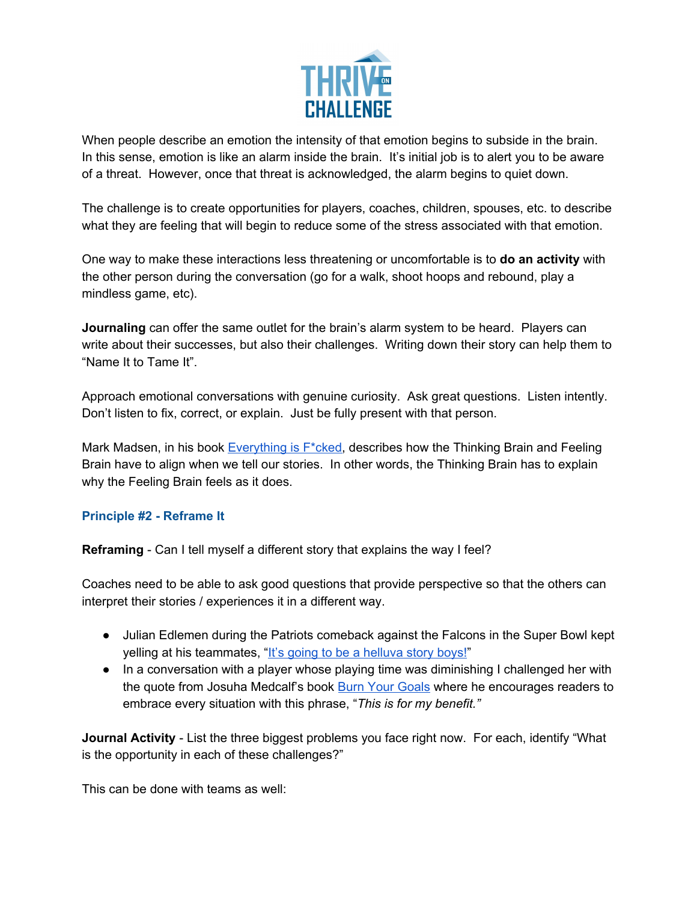

When people describe an emotion the intensity of that emotion begins to subside in the brain. In this sense, emotion is like an alarm inside the brain. It's initial job is to alert you to be aware of a threat. However, once that threat is acknowledged, the alarm begins to quiet down.

The challenge is to create opportunities for players, coaches, children, spouses, etc. to describe what they are feeling that will begin to reduce some of the stress associated with that emotion.

One way to make these interactions less threatening or uncomfortable is to **do an activity** with the other person during the conversation (go for a walk, shoot hoops and rebound, play a mindless game, etc).

**Journaling** can offer the same outlet for the brain's alarm system to be heard. Players can write about their successes, but also their challenges. Writing down their story can help them to "Name It to Tame It".

Approach emotional conversations with genuine curiosity. Ask great questions. Listen intently. Don't listen to fix, correct, or explain. Just be fully present with that person.

Mark Madsen, in his book [Everything](https://smile.amazon.com/Untitled-Mark-Manson/dp/0062888439/ref=sr_1_2?dchild=1&keywords=everything+is+fucked&qid=1595261013&sr=8-2) is F\*cked, describes how the Thinking Brain and Feeling Brain have to align when we tell our stories. In other words, the Thinking Brain has to explain why the Feeling Brain feels as it does.

### **Principle #2 - Reframe It**

**Reframing** - Can I tell myself a different story that explains the way I feel?

Coaches need to be able to ask good questions that provide perspective so that the others can interpret their stories / experiences it in a different way.

- Julian Edlemen during the Patriots comeback against the Falcons in the Super Bowl kept yelling at his teammates, "It's going to be a [helluva](https://www.youtube.com/watch?v=6EXrewbmzkY) story boys!"
- In a conversation with a player whose playing time was diminishing I challenged her with the quote from Josuha Medcalf's book Burn Your [Goals](https://smile.amazon.com/Burn-Your-Goals-Achieving-Potential/dp/148341244X/ref=sr_1_2?dchild=1&keywords=burn+your+goals&qid=1595261962&sr=8-2) where he encourages readers to embrace every situation with this phrase, "*This is for my benefit."*

**Journal Activity** - List the three biggest problems you face right now. For each, identify "What is the opportunity in each of these challenges?"

This can be done with teams as well: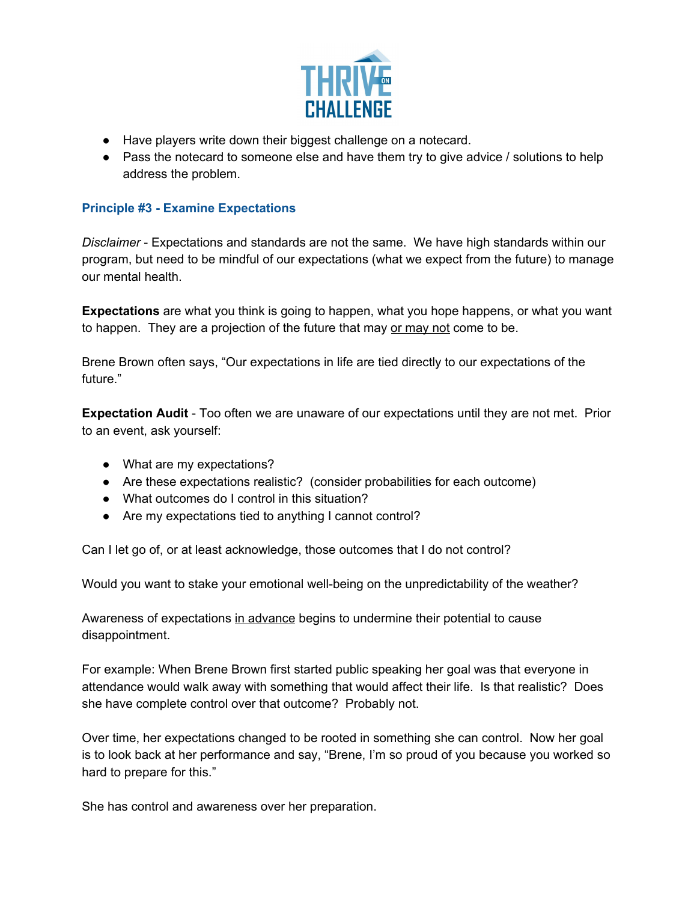

- Have players write down their biggest challenge on a notecard.
- Pass the notecard to someone else and have them try to give advice / solutions to help address the problem.

#### **Principle #3 - Examine Expectations**

*Disclaimer* - Expectations and standards are not the same. We have high standards within our program, but need to be mindful of our expectations (what we expect from the future) to manage our mental health.

**Expectations** are what you think is going to happen, what you hope happens, or what you want to happen. They are a projection of the future that may or may not come to be.

Brene Brown often says, "Our expectations in life are tied directly to our expectations of the future."

**Expectation Audit** - Too often we are unaware of our expectations until they are not met. Prior to an event, ask yourself:

- What are my expectations?
- Are these expectations realistic? (consider probabilities for each outcome)
- What outcomes do I control in this situation?
- Are my expectations tied to anything I cannot control?

Can I let go of, or at least acknowledge, those outcomes that I do not control?

Would you want to stake your emotional well-being on the unpredictability of the weather?

Awareness of expectations in advance begins to undermine their potential to cause disappointment.

For example: When Brene Brown first started public speaking her goal was that everyone in attendance would walk away with something that would affect their life. Is that realistic? Does she have complete control over that outcome? Probably not.

Over time, her expectations changed to be rooted in something she can control. Now her goal is to look back at her performance and say, "Brene, I'm so proud of you because you worked so hard to prepare for this."

She has control and awareness over her preparation.